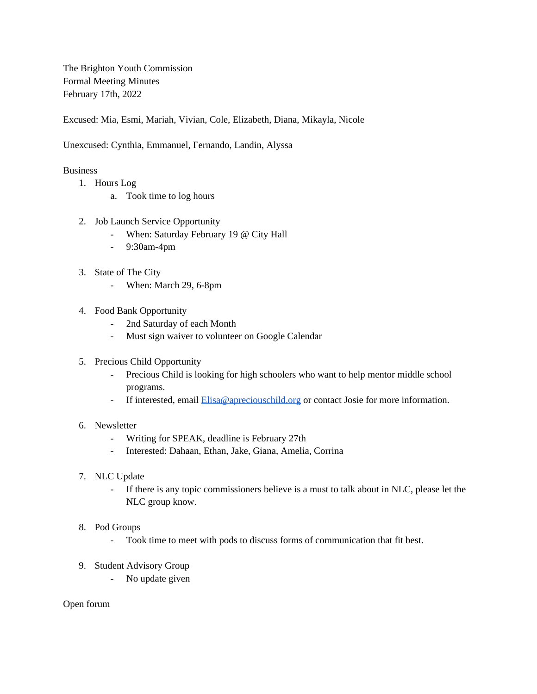The Brighton Youth Commission Formal Meeting Minutes February 17th, 2022

Excused: Mia, Esmi, Mariah, Vivian, Cole, Elizabeth, Diana, Mikayla, Nicole

Unexcused: Cynthia, Emmanuel, Fernando, Landin, Alyssa

## **Business**

- 1. Hours Log
	- a. Took time to log hours
- 2. Job Launch Service Opportunity
	- When: Saturday February 19 @ City Hall
	- 9:30am-4pm
- 3. State of The City
	- When: March 29, 6-8pm
- 4. Food Bank Opportunity
	- 2nd Saturday of each Month
	- Must sign waiver to volunteer on Google Calendar
- 5. Precious Child Opportunity
	- Precious Child is looking for high schoolers who want to help mentor middle school programs.
	- If interested, email **[Elisa@apreciouschild.org](mailto:Elisa@apreciouschild.org)** or contact Josie for more information.

## 6. Newsletter

- Writing for SPEAK, deadline is February 27th
- Interested: Dahaan, Ethan, Jake, Giana, Amelia, Corrina
- 7. NLC Update
	- If there is any topic commissioners believe is a must to talk about in NLC, please let the NLC group know.

## 8. Pod Groups

- Took time to meet with pods to discuss forms of communication that fit best.
- 9. Student Advisory Group
	- No update given

Open forum